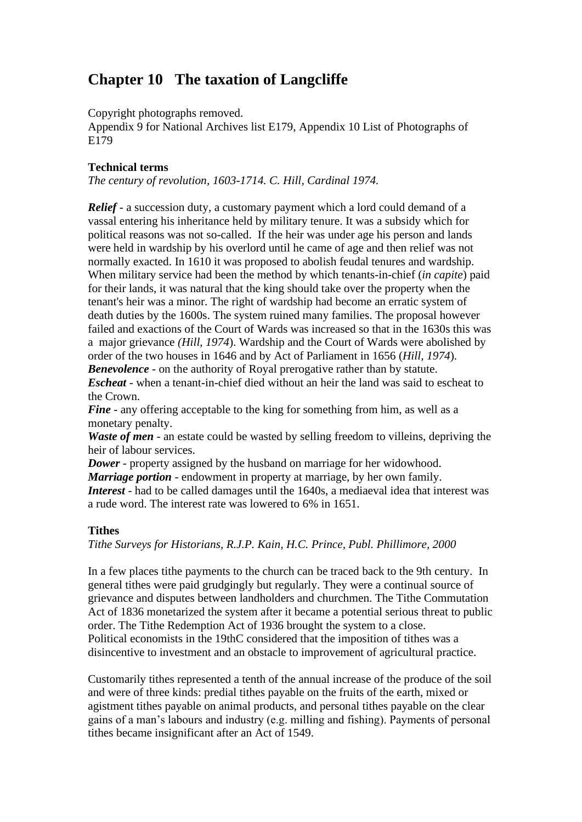# **Chapter 10 The taxation of Langcliffe**

Copyright photographs removed.

Appendix 9 for National Archives list E179, Appendix 10 List of Photographs of E179

# **Technical terms**

*The century of revolution, 1603-1714. C. Hill, Cardinal 1974.*

*Relief* - a succession duty, a customary payment which a lord could demand of a vassal entering his inheritance held by military tenure. It was a subsidy which for political reasons was not so-called. If the heir was under age his person and lands were held in wardship by his overlord until he came of age and then relief was not normally exacted. In 1610 it was proposed to abolish feudal tenures and wardship. When military service had been the method by which tenants-in-chief (*in capite*) paid for their lands, it was natural that the king should take over the property when the tenant's heir was a minor. The right of wardship had become an erratic system of death duties by the 1600s. The system ruined many families. The proposal however failed and exactions of the Court of Wards was increased so that in the 1630s this was a major grievance *(Hill, 1974*). Wardship and the Court of Wards were abolished by order of the two houses in 1646 and by Act of Parliament in 1656 (*Hill, 1974*). *Benevolence* - on the authority of Royal prerogative rather than by statute.

*Escheat* - when a tenant-in-chief died without an heir the land was said to escheat to the Crown.

*Fine* - any offering acceptable to the king for something from him, as well as a monetary penalty.

*Waste of men* - an estate could be wasted by selling freedom to villeins, depriving the heir of labour services.

*Dower* - property assigned by the husband on marriage for her widowhood. *Marriage portion* - endowment in property at marriage, by her own family. *Interest* - had to be called damages until the 1640s, a mediaeval idea that interest was a rude word. The interest rate was lowered to 6% in 1651.

## **Tithes**

*Tithe Surveys for Historians, R.J.P. Kain, H.C. Prince, Publ. Phillimore, 2000*

In a few places tithe payments to the church can be traced back to the 9th century. In general tithes were paid grudgingly but regularly. They were a continual source of grievance and disputes between landholders and churchmen. The Tithe Commutation Act of 1836 monetarized the system after it became a potential serious threat to public order. The Tithe Redemption Act of 1936 brought the system to a close. Political economists in the 19thC considered that the imposition of tithes was a disincentive to investment and an obstacle to improvement of agricultural practice.

Customarily tithes represented a tenth of the annual increase of the produce of the soil and were of three kinds: predial tithes payable on the fruits of the earth, mixed or agistment tithes payable on animal products, and personal tithes payable on the clear gains of a man's labours and industry (e.g. milling and fishing). Payments of personal tithes became insignificant after an Act of 1549.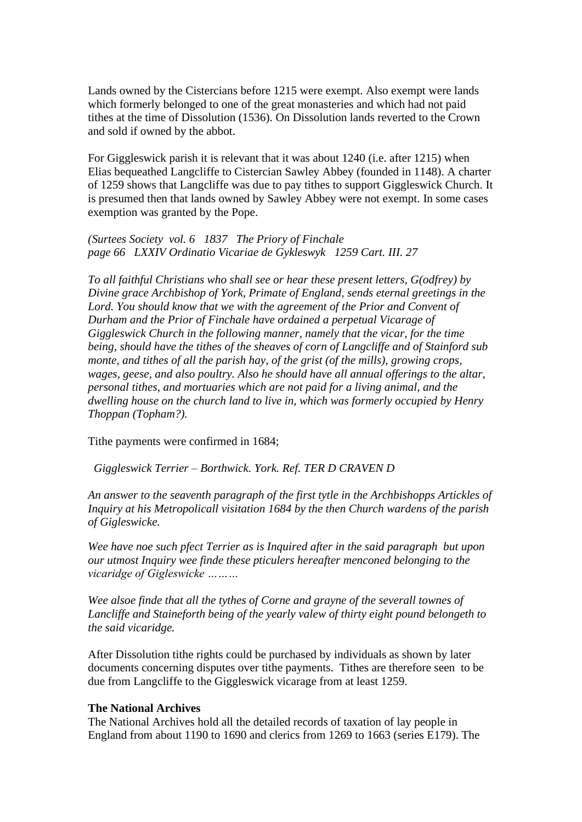Lands owned by the Cistercians before 1215 were exempt. Also exempt were lands which formerly belonged to one of the great monasteries and which had not paid tithes at the time of Dissolution (1536). On Dissolution lands reverted to the Crown and sold if owned by the abbot.

For Giggleswick parish it is relevant that it was about 1240 (i.e. after 1215) when Elias bequeathed Langcliffe to Cistercian Sawley Abbey (founded in 1148). A charter of 1259 shows that Langcliffe was due to pay tithes to support Giggleswick Church. It is presumed then that lands owned by Sawley Abbey were not exempt. In some cases exemption was granted by the Pope.

*(Surtees Society vol. 6 1837 The Priory of Finchale page 66 LXXIV Ordinatio Vicariae de Gykleswyk 1259 Cart. III. 27*

*To all faithful Christians who shall see or hear these present letters, G(odfrey) by Divine grace Archbishop of York, Primate of England, sends eternal greetings in the Lord. You should know that we with the agreement of the Prior and Convent of Durham and the Prior of Finchale have ordained a perpetual Vicarage of Giggleswick Church in the following manner, namely that the vicar, for the time being, should have the tithes of the sheaves of corn of Langcliffe and of Stainford sub monte, and tithes of all the parish hay, of the grist (of the mills), growing crops, wages, geese, and also poultry. Also he should have all annual offerings to the altar, personal tithes, and mortuaries which are not paid for a living animal, and the dwelling house on the church land to live in, which was formerly occupied by Henry Thoppan (Topham?).* 

Tithe payments were confirmed in 1684;

 *Giggleswick Terrier – Borthwick. York. Ref. TER D CRAVEN D*

*An answer to the seaventh paragraph of the first tytle in the Archbishopps Artickles of Inquiry at his Metropolicall visitation 1684 by the then Church wardens of the parish of Gigleswicke.*

*Wee have noe such pfect Terrier as is Inquired after in the said paragraph but upon our utmost Inquiry wee finde these pticulers hereafter menconed belonging to the vicaridge of Gigleswicke ………*

*Wee alsoe finde that all the tythes of Corne and grayne of the severall townes of Lancliffe and Staineforth being of the yearly valew of thirty eight pound belongeth to the said vicaridge.*

After Dissolution tithe rights could be purchased by individuals as shown by later documents concerning disputes over tithe payments. Tithes are therefore seen to be due from Langcliffe to the Giggleswick vicarage from at least 1259.

#### **The National Archives**

The National Archives hold all the detailed records of taxation of lay people in England from about 1190 to 1690 and clerics from 1269 to 1663 (series E179). The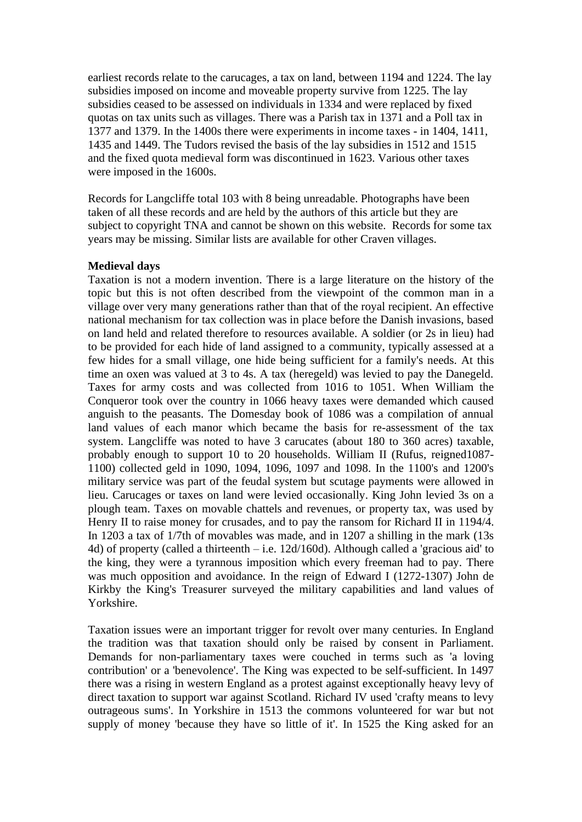earliest records relate to the carucages, a tax on land, between 1194 and 1224. The lay subsidies imposed on income and moveable property survive from 1225. The lay subsidies ceased to be assessed on individuals in 1334 and were replaced by fixed quotas on tax units such as villages. There was a Parish tax in 1371 and a Poll tax in 1377 and 1379. In the 1400s there were experiments in income taxes - in 1404, 1411, 1435 and 1449. The Tudors revised the basis of the lay subsidies in 1512 and 1515 and the fixed quota medieval form was discontinued in 1623. Various other taxes were imposed in the 1600s.

Records for Langcliffe total 103 with 8 being unreadable. Photographs have been taken of all these records and are held by the authors of this article but they are subject to copyright TNA and cannot be shown on this website. Records for some tax years may be missing. Similar lists are available for other Craven villages.

#### **Medieval days**

Taxation is not a modern invention. There is a large literature on the history of the topic but this is not often described from the viewpoint of the common man in a village over very many generations rather than that of the royal recipient. An effective national mechanism for tax collection was in place before the Danish invasions, based on land held and related therefore to resources available. A soldier (or 2s in lieu) had to be provided for each hide of land assigned to a community, typically assessed at a few hides for a small village, one hide being sufficient for a family's needs. At this time an oxen was valued at 3 to 4s. A tax (heregeld) was levied to pay the Danegeld. Taxes for army costs and was collected from 1016 to 1051. When William the Conqueror took over the country in 1066 heavy taxes were demanded which caused anguish to the peasants. The Domesday book of 1086 was a compilation of annual land values of each manor which became the basis for re-assessment of the tax system. Langcliffe was noted to have 3 carucates (about 180 to 360 acres) taxable, probably enough to support 10 to 20 households. William II (Rufus, reigned1087- 1100) collected geld in 1090, 1094, 1096, 1097 and 1098. In the 1100's and 1200's military service was part of the feudal system but scutage payments were allowed in lieu. Carucages or taxes on land were levied occasionally. King John levied 3s on a plough team. Taxes on movable chattels and revenues, or property tax, was used by Henry II to raise money for crusades, and to pay the ransom for Richard II in 1194/4. In 1203 a tax of 1/7th of movables was made, and in 1207 a shilling in the mark (13s 4d) of property (called a thirteenth – i.e. 12d/160d). Although called a 'gracious aid' to the king, they were a tyrannous imposition which every freeman had to pay. There was much opposition and avoidance. In the reign of Edward I (1272-1307) John de Kirkby the King's Treasurer surveyed the military capabilities and land values of Yorkshire.

Taxation issues were an important trigger for revolt over many centuries. In England the tradition was that taxation should only be raised by consent in Parliament. Demands for non-parliamentary taxes were couched in terms such as 'a loving contribution' or a 'benevolence'. The King was expected to be self-sufficient. In 1497 there was a rising in western England as a protest against exceptionally heavy levy of direct taxation to support war against Scotland. Richard IV used 'crafty means to levy outrageous sums'. In Yorkshire in 1513 the commons volunteered for war but not supply of money 'because they have so little of it'. In 1525 the King asked for an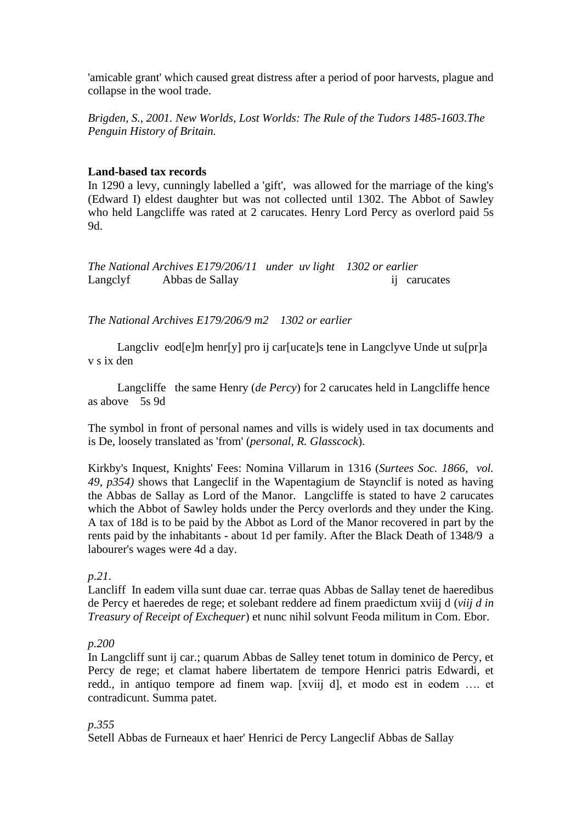'amicable grant' which caused great distress after a period of poor harvests, plague and collapse in the wool trade.

*Brigden, S., 2001. New Worlds, Lost Worlds: The Rule of the Tudors 1485-1603.The Penguin History of Britain.*

#### **Land-based tax records**

In 1290 a levy, cunningly labelled a 'gift', was allowed for the marriage of the king's (Edward I) eldest daughter but was not collected until 1302. The Abbot of Sawley who held Langcliffe was rated at 2 carucates. Henry Lord Percy as overlord paid 5s 9d.

*The National Archives E179/206/11 under uv light 1302 or earlier* Langclyf Abbas de Sallay ij carucates

*The National Archives E179/206/9 m2 1302 or earlier*

Langcliv eod[e]m henr[y] pro ij car[ucate]s tene in Langclyve Unde ut su[pr]a v s ix den

 Langcliffe the same Henry (*de Percy*) for 2 carucates held in Langcliffe hence as above 5s 9d

The symbol in front of personal names and vills is widely used in tax documents and is De, loosely translated as 'from' (*personal, R. Glasscock*).

Kirkby's Inquest, Knights' Fees: Nomina Villarum in 1316 (*Surtees Soc. 1866, vol. 49, p354)* shows that Langeclif in the Wapentagium de Staynclif is noted as having the Abbas de Sallay as Lord of the Manor. Langcliffe is stated to have 2 carucates which the Abbot of Sawley holds under the Percy overlords and they under the King. A tax of 18d is to be paid by the Abbot as Lord of the Manor recovered in part by the rents paid by the inhabitants - about 1d per family. After the Black Death of 1348/9 a labourer's wages were 4d a day.

*p.21*.

Lancliff In eadem villa sunt duae car. terrae quas Abbas de Sallay tenet de haeredibus de Percy et haeredes de rege; et solebant reddere ad finem praedictum xviij d (*viij d in Treasury of Receipt of Exchequer*) et nunc nihil solvunt Feoda militum in Com. Ebor.

### *p.200*

In Langcliff sunt ij car.; quarum Abbas de Salley tenet totum in dominico de Percy, et Percy de rege; et clamat habere libertatem de tempore Henrici patris Edwardi, et redd., in antiquo tempore ad finem wap. [xviij d], et modo est in eodem …. et contradicunt. Summa patet.

### *p.355*

Setell Abbas de Furneaux et haer' Henrici de Percy Langeclif Abbas de Sallay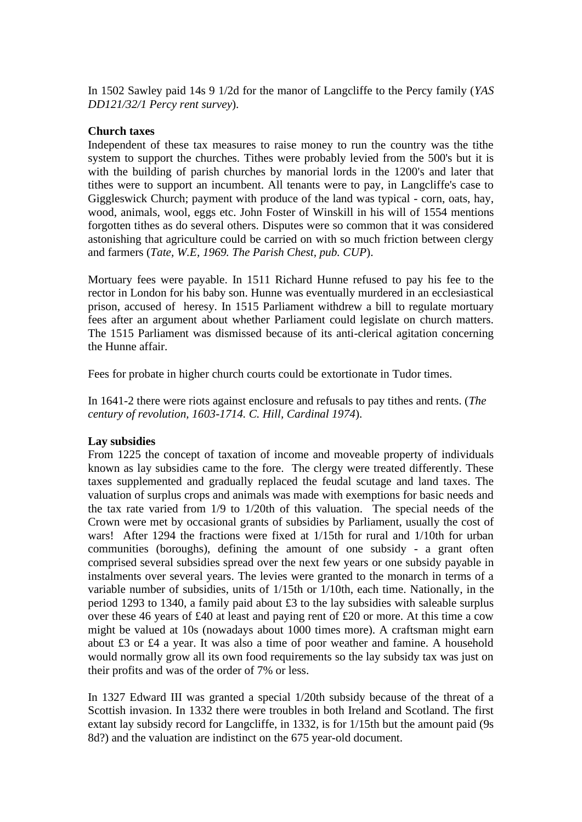In 1502 Sawley paid 14s 9 1/2d for the manor of Langcliffe to the Percy family (*YAS DD121/32/1 Percy rent survey*).

#### **Church taxes**

Independent of these tax measures to raise money to run the country was the tithe system to support the churches. Tithes were probably levied from the 500's but it is with the building of parish churches by manorial lords in the 1200's and later that tithes were to support an incumbent. All tenants were to pay, in Langcliffe's case to Giggleswick Church; payment with produce of the land was typical - corn, oats, hay, wood, animals, wool, eggs etc. John Foster of Winskill in his will of 1554 mentions forgotten tithes as do several others. Disputes were so common that it was considered astonishing that agriculture could be carried on with so much friction between clergy and farmers (*Tate, W.E, 1969. The Parish Chest, pub. CUP*).

Mortuary fees were payable. In 1511 Richard Hunne refused to pay his fee to the rector in London for his baby son. Hunne was eventually murdered in an ecclesiastical prison, accused of heresy. In 1515 Parliament withdrew a bill to regulate mortuary fees after an argument about whether Parliament could legislate on church matters. The 1515 Parliament was dismissed because of its anti-clerical agitation concerning the Hunne affair.

Fees for probate in higher church courts could be extortionate in Tudor times.

In 1641-2 there were riots against enclosure and refusals to pay tithes and rents. (*The century of revolution, 1603-1714. C. Hill, Cardinal 1974*).

### **Lay subsidies**

From 1225 the concept of taxation of income and moveable property of individuals known as lay subsidies came to the fore. The clergy were treated differently. These taxes supplemented and gradually replaced the feudal scutage and land taxes. The valuation of surplus crops and animals was made with exemptions for basic needs and the tax rate varied from 1/9 to 1/20th of this valuation. The special needs of the Crown were met by occasional grants of subsidies by Parliament, usually the cost of wars! After 1294 the fractions were fixed at 1/15th for rural and 1/10th for urban communities (boroughs), defining the amount of one subsidy - a grant often comprised several subsidies spread over the next few years or one subsidy payable in instalments over several years. The levies were granted to the monarch in terms of a variable number of subsidies, units of 1/15th or 1/10th, each time. Nationally, in the period 1293 to 1340, a family paid about £3 to the lay subsidies with saleable surplus over these 46 years of £40 at least and paying rent of £20 or more. At this time a cow might be valued at 10s (nowadays about 1000 times more). A craftsman might earn about £3 or £4 a year. It was also a time of poor weather and famine. A household would normally grow all its own food requirements so the lay subsidy tax was just on their profits and was of the order of 7% or less.

In 1327 Edward III was granted a special 1/20th subsidy because of the threat of a Scottish invasion. In 1332 there were troubles in both Ireland and Scotland. The first extant lay subsidy record for Langcliffe, in 1332, is for 1/15th but the amount paid (9s 8d?) and the valuation are indistinct on the 675 year-old document.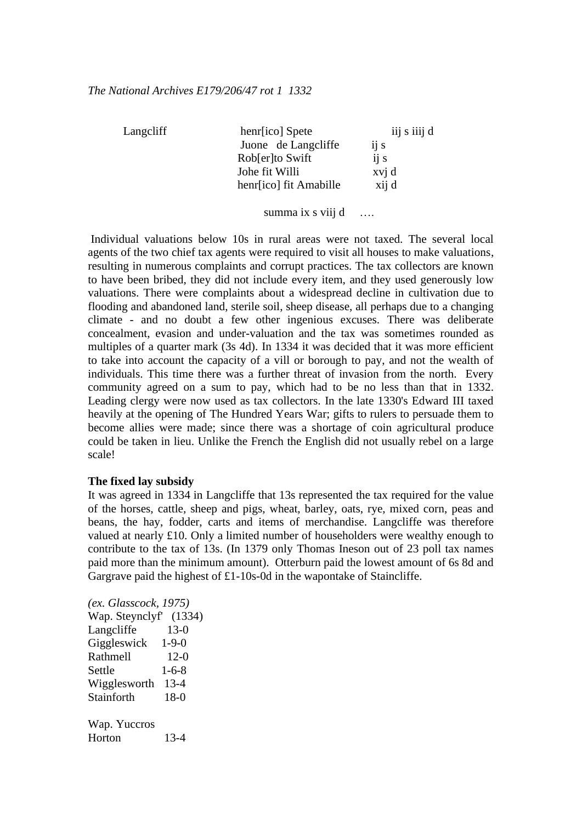| Langcliff | henr[ico] Spete        | iij s iiij d |
|-----------|------------------------|--------------|
|           | Juone de Langcliffe    | ij s         |
|           | Robler to Swift        | ij s         |
|           | Johe fit Willi         | xvj d        |
|           | henr[ico] fit Amabille | xij d        |
|           |                        |              |

summa ix s viij d ….

Individual valuations below 10s in rural areas were not taxed. The several local agents of the two chief tax agents were required to visit all houses to make valuations, resulting in numerous complaints and corrupt practices. The tax collectors are known to have been bribed, they did not include every item, and they used generously low valuations. There were complaints about a widespread decline in cultivation due to flooding and abandoned land, sterile soil, sheep disease, all perhaps due to a changing climate - and no doubt a few other ingenious excuses. There was deliberate concealment, evasion and under-valuation and the tax was sometimes rounded as multiples of a quarter mark (3s 4d). In 1334 it was decided that it was more efficient to take into account the capacity of a vill or borough to pay, and not the wealth of individuals. This time there was a further threat of invasion from the north. Every community agreed on a sum to pay, which had to be no less than that in 1332. Leading clergy were now used as tax collectors. In the late 1330's Edward III taxed heavily at the opening of The Hundred Years War; gifts to rulers to persuade them to become allies were made; since there was a shortage of coin agricultural produce could be taken in lieu. Unlike the French the English did not usually rebel on a large scale!

### **The fixed lay subsidy**

It was agreed in 1334 in Langcliffe that 13s represented the tax required for the value of the horses, cattle, sheep and pigs, wheat, barley, oats, rye, mixed corn, peas and beans, the hay, fodder, carts and items of merchandise. Langcliffe was therefore valued at nearly £10. Only a limited number of householders were wealthy enough to contribute to the tax of 13s. (In 1379 only Thomas Ineson out of 23 poll tax names paid more than the minimum amount). Otterburn paid the lowest amount of 6s 8d and Gargrave paid the highest of £1-10s-0d in the wapontake of Staincliffe.

*(ex. Glasscock, 1975)* Wap. Steynclyf' (1334) Langcliffe 13-0 Giggleswick 1-9-0 Rathmell 12-0 Settle 1-6-8 Wigglesworth 13-4 Stainforth 18-0 Wap. Yuccros Horton 13-4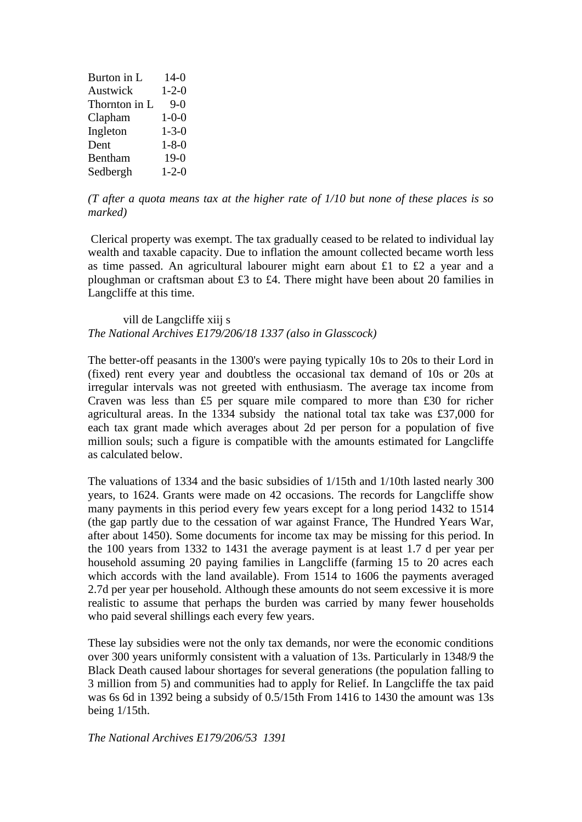| Burton in L   | $14-0$      |
|---------------|-------------|
| Austwick      | $1 - 2 - 0$ |
| Thornton in L | $9-0$       |
| Clapham       | $1 - 0 - 0$ |
| Ingleton      | $1 - 3 - 0$ |
| Dent          | $1 - 8 - 0$ |
| Bentham       | $19-0$      |
| Sedbergh      | $1 - 2 - 0$ |

*(T after a quota means tax at the higher rate of 1/10 but none of these places is so marked)*

Clerical property was exempt. The tax gradually ceased to be related to individual lay wealth and taxable capacity. Due to inflation the amount collected became worth less as time passed. An agricultural labourer might earn about £1 to £2 a year and a ploughman or craftsman about £3 to £4. There might have been about 20 families in Langcliffe at this time.

vill de Langcliffe xiij s *The National Archives E179/206/18 1337 (also in Glasscock)*

The better-off peasants in the 1300's were paying typically 10s to 20s to their Lord in (fixed) rent every year and doubtless the occasional tax demand of 10s or 20s at irregular intervals was not greeted with enthusiasm. The average tax income from Craven was less than £5 per square mile compared to more than £30 for richer agricultural areas. In the 1334 subsidy the national total tax take was £37,000 for each tax grant made which averages about 2d per person for a population of five million souls; such a figure is compatible with the amounts estimated for Langcliffe as calculated below.

The valuations of 1334 and the basic subsidies of 1/15th and 1/10th lasted nearly 300 years, to 1624. Grants were made on 42 occasions. The records for Langcliffe show many payments in this period every few years except for a long period 1432 to 1514 (the gap partly due to the cessation of war against France, The Hundred Years War, after about 1450). Some documents for income tax may be missing for this period. In the 100 years from 1332 to 1431 the average payment is at least 1.7 d per year per household assuming 20 paying families in Langcliffe (farming 15 to 20 acres each which accords with the land available). From 1514 to 1606 the payments averaged 2.7d per year per household. Although these amounts do not seem excessive it is more realistic to assume that perhaps the burden was carried by many fewer households who paid several shillings each every few years.

These lay subsidies were not the only tax demands, nor were the economic conditions over 300 years uniformly consistent with a valuation of 13s. Particularly in 1348/9 the Black Death caused labour shortages for several generations (the population falling to 3 million from 5) and communities had to apply for Relief. In Langcliffe the tax paid was 6s 6d in 1392 being a subsidy of 0.5/15th From 1416 to 1430 the amount was 13s being 1/15th.

*The National Archives E179/206/53 1391*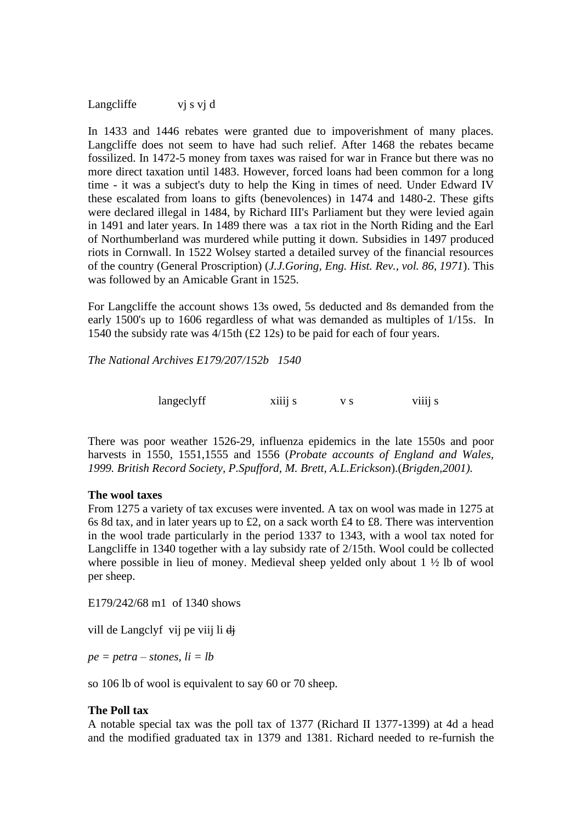Langcliffe vj s vj d

In 1433 and 1446 rebates were granted due to impoverishment of many places. Langcliffe does not seem to have had such relief. After 1468 the rebates became fossilized. In 1472-5 money from taxes was raised for war in France but there was no more direct taxation until 1483. However, forced loans had been common for a long time - it was a subject's duty to help the King in times of need. Under Edward IV these escalated from loans to gifts (benevolences) in 1474 and 1480-2. These gifts were declared illegal in 1484, by Richard III's Parliament but they were levied again in 1491 and later years. In 1489 there was a tax riot in the North Riding and the Earl of Northumberland was murdered while putting it down. Subsidies in 1497 produced riots in Cornwall. In 1522 Wolsey started a detailed survey of the financial resources of the country (General Proscription) (*J.J.Goring, Eng. Hist. Rev., vol. 86, 1971*). This was followed by an Amicable Grant in 1525.

For Langcliffe the account shows 13s owed, 5s deducted and 8s demanded from the early 1500's up to 1606 regardless of what was demanded as multiples of 1/15s. In 1540 the subsidy rate was 4/15th (£2 12s) to be paid for each of four years.

*The National Archives E179/207/152b 1540*

langeclyff xiiij s v s viiij s

There was poor weather 1526-29, influenza epidemics in the late 1550s and poor harvests in 1550, 1551,1555 and 1556 (*Probate accounts of England and Wales, 1999. British Record Society, P.Spufford, M. Brett, A.L.Erickson*).(*Brigden,2001).*

#### **The wool taxes**

From 1275 a variety of tax excuses were invented. A tax on wool was made in 1275 at 6s 8d tax, and in later years up to £2, on a sack worth £4 to £8. There was intervention in the wool trade particularly in the period 1337 to 1343, with a wool tax noted for Langcliffe in 1340 together with a lay subsidy rate of 2/15th. Wool could be collected where possible in lieu of money. Medieval sheep yelded only about 1  $\frac{1}{2}$  lb of wool per sheep.

E179/242/68 m1 of 1340 shows

vill de Langclyf vij pe viij li dj

 $pe = petra - stones, li = lb$ 

so 106 lb of wool is equivalent to say 60 or 70 sheep.

### **The Poll tax**

A notable special tax was the poll tax of 1377 (Richard II 1377-1399) at 4d a head and the modified graduated tax in 1379 and 1381. Richard needed to re-furnish the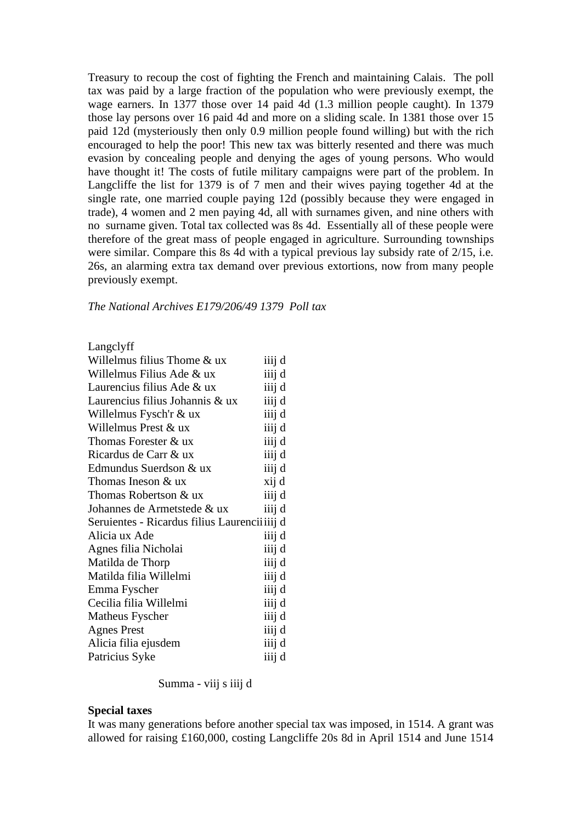Treasury to recoup the cost of fighting the French and maintaining Calais. The poll tax was paid by a large fraction of the population who were previously exempt, the wage earners. In 1377 those over 14 paid 4d (1.3 million people caught). In 1379 those lay persons over 16 paid 4d and more on a sliding scale. In 1381 those over 15 paid 12d (mysteriously then only 0.9 million people found willing) but with the rich encouraged to help the poor! This new tax was bitterly resented and there was much evasion by concealing people and denying the ages of young persons. Who would have thought it! The costs of futile military campaigns were part of the problem. In Langcliffe the list for 1379 is of 7 men and their wives paying together 4d at the single rate, one married couple paying 12d (possibly because they were engaged in trade), 4 women and 2 men paying 4d, all with surnames given, and nine others with no surname given. Total tax collected was 8s 4d. Essentially all of these people were therefore of the great mass of people engaged in agriculture. Surrounding townships were similar. Compare this 8s 4d with a typical previous lay subsidy rate of 2/15, i.e. 26s, an alarming extra tax demand over previous extortions, now from many people previously exempt.

*The National Archives E179/206/49 1379 Poll tax*

Langclyff

| Willelmus filius Thome & ux                   | iiij d |
|-----------------------------------------------|--------|
| Willelmus Filius Ade & ux                     | iiij d |
| Laurencius filius Ade & ux                    | iiij d |
| Laurencius filius Johannis & ux               | iiij d |
| Willelmus Fysch'r $&$ ux                      | iiij d |
| Willelmus Prest & ux                          | iiij d |
| Thomas Forester & ux                          | iiij d |
| Ricardus de Carr & ux                         | iiij d |
| Edmundus Suerdson & ux                        | iiij d |
| Thomas Ineson $&$ ux                          | xij d  |
| Thomas Robertson & ux                         | iiij d |
| Johannes de Armetstede & ux                   | iiij d |
| Seruientes - Ricardus filius Laurencii iiij d |        |
| Alicia ux Ade                                 | iiij d |
| Agnes filia Nicholai                          | iiij d |
| Matilda de Thorp                              | iiij d |
| Matilda filia Willelmi                        | iiij d |
| Emma Fyscher                                  | iiij d |
| Cecilia filia Willelmi                        | iiij d |
| Matheus Fyscher                               | iiij d |
| <b>Agnes Prest</b>                            | iiij d |
| Alicia filia ejusdem                          | iiij d |
| Patricius Syke                                | iiij d |

Summa - viij s iiij d

#### **Special taxes**

It was many generations before another special tax was imposed, in 1514. A grant was allowed for raising £160,000, costing Langcliffe 20s 8d in April 1514 and June 1514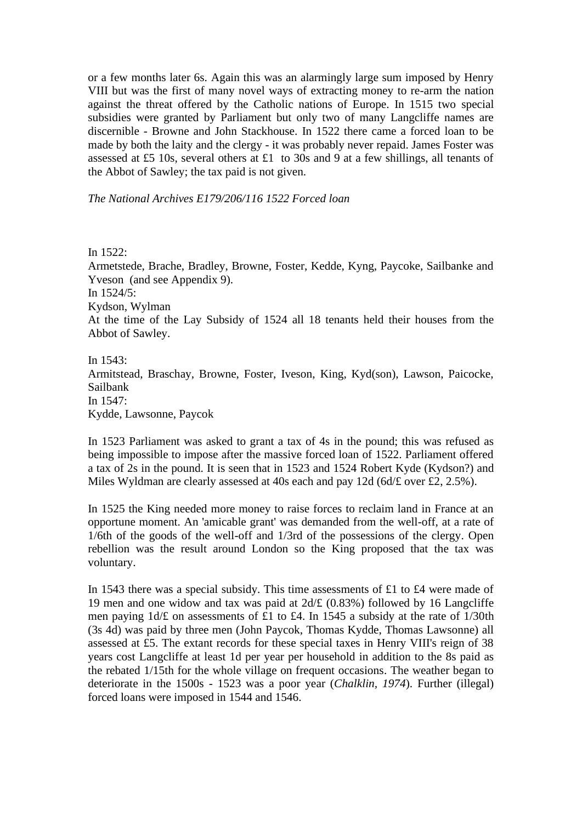or a few months later 6s. Again this was an alarmingly large sum imposed by Henry VIII but was the first of many novel ways of extracting money to re-arm the nation against the threat offered by the Catholic nations of Europe. In 1515 two special subsidies were granted by Parliament but only two of many Langcliffe names are discernible - Browne and John Stackhouse. In 1522 there came a forced loan to be made by both the laity and the clergy - it was probably never repaid. James Foster was assessed at £5 10s, several others at £1 to 30s and 9 at a few shillings, all tenants of the Abbot of Sawley; the tax paid is not given.

*The National Archives E179/206/116 1522 Forced loan*

In 1522:

Armetstede, Brache, Bradley, Browne, Foster, Kedde, Kyng, Paycoke, Sailbanke and Yveson (and see Appendix 9). In 1524/5: Kydson, Wylman At the time of the Lay Subsidy of 1524 all 18 tenants held their houses from the Abbot of Sawley.

In 1543: Armitstead, Braschay, Browne, Foster, Iveson, King, Kyd(son), Lawson, Paicocke, Sailbank In 1547: Kydde, Lawsonne, Paycok

In 1523 Parliament was asked to grant a tax of 4s in the pound; this was refused as being impossible to impose after the massive forced loan of 1522. Parliament offered a tax of 2s in the pound. It is seen that in 1523 and 1524 Robert Kyde (Kydson?) and Miles Wyldman are clearly assessed at 40s each and pay 12d (6d/ $\pounds$  over £2, 2.5%).

In 1525 the King needed more money to raise forces to reclaim land in France at an opportune moment. An 'amicable grant' was demanded from the well-off, at a rate of 1/6th of the goods of the well-off and 1/3rd of the possessions of the clergy. Open rebellion was the result around London so the King proposed that the tax was voluntary.

In 1543 there was a special subsidy. This time assessments of £1 to £4 were made of 19 men and one widow and tax was paid at 2d/£ (0.83%) followed by 16 Langcliffe men paying 1d/£ on assessments of £1 to £4. In 1545 a subsidy at the rate of 1/30th (3s 4d) was paid by three men (John Paycok, Thomas Kydde, Thomas Lawsonne) all assessed at £5. The extant records for these special taxes in Henry VIII's reign of 38 years cost Langcliffe at least 1d per year per household in addition to the 8s paid as the rebated 1/15th for the whole village on frequent occasions. The weather began to deteriorate in the 1500s - 1523 was a poor year (*Chalklin, 1974*). Further (illegal) forced loans were imposed in 1544 and 1546.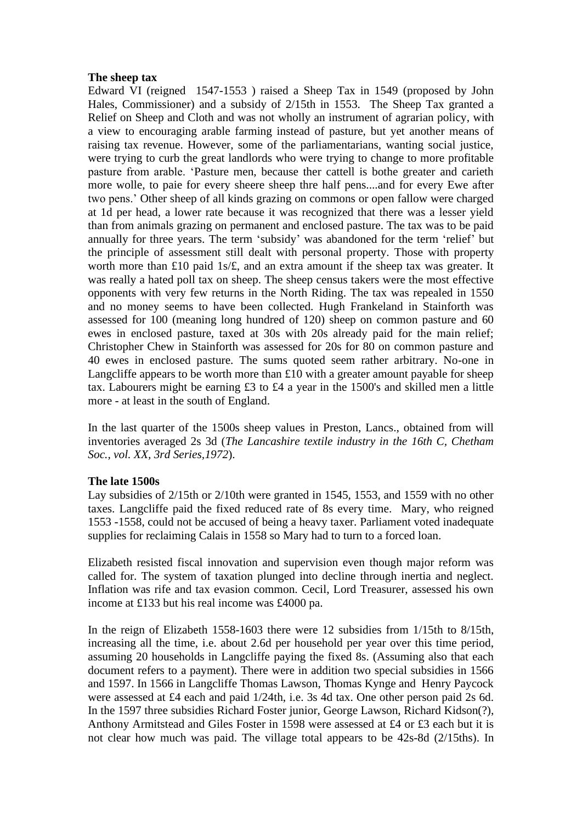#### **The sheep tax**

Edward VI (reigned 1547-1553 ) raised a Sheep Tax in 1549 (proposed by John Hales, Commissioner) and a subsidy of 2/15th in 1553. The Sheep Tax granted a Relief on Sheep and Cloth and was not wholly an instrument of agrarian policy, with a view to encouraging arable farming instead of pasture, but yet another means of raising tax revenue. However, some of the parliamentarians, wanting social justice, were trying to curb the great landlords who were trying to change to more profitable pasture from arable. 'Pasture men, because ther cattell is bothe greater and carieth more wolle, to paie for every sheere sheep thre half pens....and for every Ewe after two pens.' Other sheep of all kinds grazing on commons or open fallow were charged at 1d per head, a lower rate because it was recognized that there was a lesser yield than from animals grazing on permanent and enclosed pasture. The tax was to be paid annually for three years. The term 'subsidy' was abandoned for the term 'relief' but the principle of assessment still dealt with personal property. Those with property worth more than £10 paid 1s/£, and an extra amount if the sheep tax was greater. It was really a hated poll tax on sheep. The sheep census takers were the most effective opponents with very few returns in the North Riding. The tax was repealed in 1550 and no money seems to have been collected. Hugh Frankeland in Stainforth was assessed for 100 (meaning long hundred of 120) sheep on common pasture and 60 ewes in enclosed pasture, taxed at 30s with 20s already paid for the main relief; Christopher Chew in Stainforth was assessed for 20s for 80 on common pasture and 40 ewes in enclosed pasture. The sums quoted seem rather arbitrary. No-one in Langcliffe appears to be worth more than  $£10$  with a greater amount payable for sheep tax. Labourers might be earning £3 to £4 a year in the 1500's and skilled men a little more - at least in the south of England.

In the last quarter of the 1500s sheep values in Preston, Lancs., obtained from will inventories averaged 2s 3d (*The Lancashire textile industry in the 16th C, Chetham Soc., vol. XX, 3rd Series,1972*).

### **The late 1500s**

Lay subsidies of 2/15th or 2/10th were granted in 1545, 1553, and 1559 with no other taxes. Langcliffe paid the fixed reduced rate of 8s every time. Mary, who reigned 1553 -1558, could not be accused of being a heavy taxer. Parliament voted inadequate supplies for reclaiming Calais in 1558 so Mary had to turn to a forced loan.

Elizabeth resisted fiscal innovation and supervision even though major reform was called for. The system of taxation plunged into decline through inertia and neglect. Inflation was rife and tax evasion common. Cecil, Lord Treasurer, assessed his own income at £133 but his real income was £4000 pa.

In the reign of Elizabeth 1558-1603 there were 12 subsidies from 1/15th to 8/15th, increasing all the time, i.e. about 2.6d per household per year over this time period, assuming 20 households in Langcliffe paying the fixed 8s. (Assuming also that each document refers to a payment). There were in addition two special subsidies in 1566 and 1597. In 1566 in Langcliffe Thomas Lawson, Thomas Kynge and Henry Paycock were assessed at £4 each and paid 1/24th, i.e. 3s 4d tax. One other person paid 2s 6d. In the 1597 three subsidies Richard Foster junior, George Lawson, Richard Kidson(?), Anthony Armitstead and Giles Foster in 1598 were assessed at £4 or £3 each but it is not clear how much was paid. The village total appears to be 42s-8d (2/15ths). In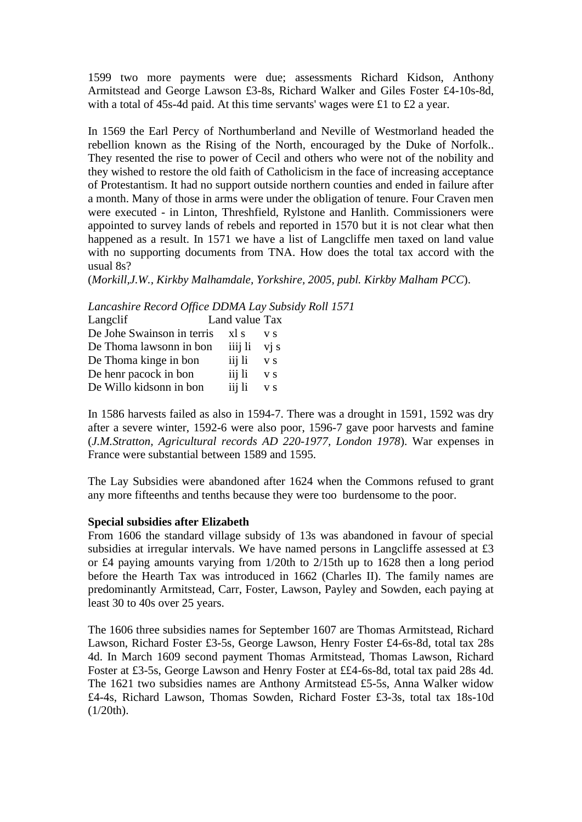1599 two more payments were due; assessments Richard Kidson, Anthony Armitstead and George Lawson £3-8s, Richard Walker and Giles Foster £4-10s-8d, with a total of 45s-4d paid. At this time servants' wages were £1 to £2 a year.

In 1569 the Earl Percy of Northumberland and Neville of Westmorland headed the rebellion known as the Rising of the North, encouraged by the Duke of Norfolk.. They resented the rise to power of Cecil and others who were not of the nobility and they wished to restore the old faith of Catholicism in the face of increasing acceptance of Protestantism. It had no support outside northern counties and ended in failure after a month. Many of those in arms were under the obligation of tenure. Four Craven men were executed - in Linton, Threshfield, Rylstone and Hanlith. Commissioners were appointed to survey lands of rebels and reported in 1570 but it is not clear what then happened as a result. In 1571 we have a list of Langcliffe men taxed on land value with no supporting documents from TNA. How does the total tax accord with the usual 8s?

(*Morkill,J.W., Kirkby Malhamdale, Yorkshire, 2005, publ. Kirkby Malham PCC*).

*Lancashire Record Office DDMA Lay Subsidy Roll 1571*

| Langclif                   | Land value Tax |         |                   |
|----------------------------|----------------|---------|-------------------|
| De Johe Swainson in terris | xl s           |         | V S               |
| De Thoma lawsonn in bon    |                | iiij li | $\overline{vi}$ s |
| De Thoma kinge in bon      |                | iij li  | V S               |
| De henr pacock in bon      |                | iij li  | V S               |
| De Willo kidsonn in bon    |                | iij li  | V S               |
|                            |                |         |                   |

In 1586 harvests failed as also in 1594-7. There was a drought in 1591, 1592 was dry after a severe winter, 1592-6 were also poor, 1596-7 gave poor harvests and famine (*J.M.Stratton, Agricultural records AD 220-1977, London 1978*). War expenses in France were substantial between 1589 and 1595.

The Lay Subsidies were abandoned after 1624 when the Commons refused to grant any more fifteenths and tenths because they were too burdensome to the poor.

### **Special subsidies after Elizabeth**

From 1606 the standard village subsidy of 13s was abandoned in favour of special subsidies at irregular intervals. We have named persons in Langcliffe assessed at £3 or £4 paying amounts varying from 1/20th to 2/15th up to 1628 then a long period before the Hearth Tax was introduced in 1662 (Charles II). The family names are predominantly Armitstead, Carr, Foster, Lawson, Payley and Sowden, each paying at least 30 to 40s over 25 years.

The 1606 three subsidies names for September 1607 are Thomas Armitstead, Richard Lawson, Richard Foster £3-5s, George Lawson, Henry Foster £4-6s-8d, total tax 28s 4d. In March 1609 second payment Thomas Armitstead, Thomas Lawson, Richard Foster at £3-5s, George Lawson and Henry Foster at ££4-6s-8d, total tax paid 28s 4d. The 1621 two subsidies names are Anthony Armitstead £5-5s, Anna Walker widow £4-4s, Richard Lawson, Thomas Sowden, Richard Foster £3-3s, total tax 18s-10d  $(1/20th)$ .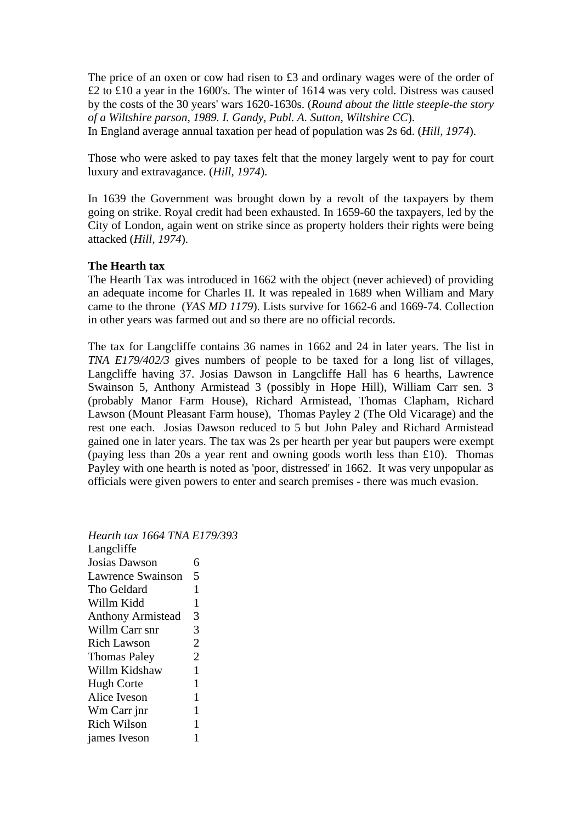The price of an oxen or cow had risen to £3 and ordinary wages were of the order of £2 to £10 a year in the 1600's. The winter of 1614 was very cold. Distress was caused by the costs of the 30 years' wars 1620-1630s. (*Round about the little steeple-the story of a Wiltshire parson, 1989. I. Gandy, Publ. A. Sutton, Wiltshire CC*). In England average annual taxation per head of population was 2s 6d. (*Hill, 1974*).

Those who were asked to pay taxes felt that the money largely went to pay for court luxury and extravagance. (*Hill, 1974*).

In 1639 the Government was brought down by a revolt of the taxpayers by them going on strike. Royal credit had been exhausted. In 1659-60 the taxpayers, led by the City of London, again went on strike since as property holders their rights were being attacked (*Hill, 1974*).

#### **The Hearth tax**

The Hearth Tax was introduced in 1662 with the object (never achieved) of providing an adequate income for Charles II. It was repealed in 1689 when William and Mary came to the throne (*YAS MD 1179*). Lists survive for 1662-6 and 1669-74. Collection in other years was farmed out and so there are no official records.

The tax for Langcliffe contains 36 names in 1662 and 24 in later years. The list in *TNA E179/402/3* gives numbers of people to be taxed for a long list of villages, Langcliffe having 37. Josias Dawson in Langcliffe Hall has 6 hearths, Lawrence Swainson 5, Anthony Armistead 3 (possibly in Hope Hill), William Carr sen. 3 (probably Manor Farm House), Richard Armistead, Thomas Clapham, Richard Lawson (Mount Pleasant Farm house), Thomas Payley 2 (The Old Vicarage) and the rest one each. Josias Dawson reduced to 5 but John Paley and Richard Armistead gained one in later years. The tax was 2s per hearth per year but paupers were exempt (paying less than 20s a year rent and owning goods worth less than £10). Thomas Payley with one hearth is noted as 'poor, distressed' in 1662. It was very unpopular as officials were given powers to enter and search premises - there was much evasion.

*Hearth tax 1664 TNA E179/393* Langcliffe Josias Dawson 6 Lawrence Swainson 5 Tho Geldard 1 Willm Kidd 1 Anthony Armistead 3 Willm Carr snr 3 Rich Lawson 2 Thomas Paley 2 Willm Kidshaw 1 Hugh Corte 1 Alice Iveson 1 Wm Carr jnr 1 Rich Wilson 1 james Iveson 1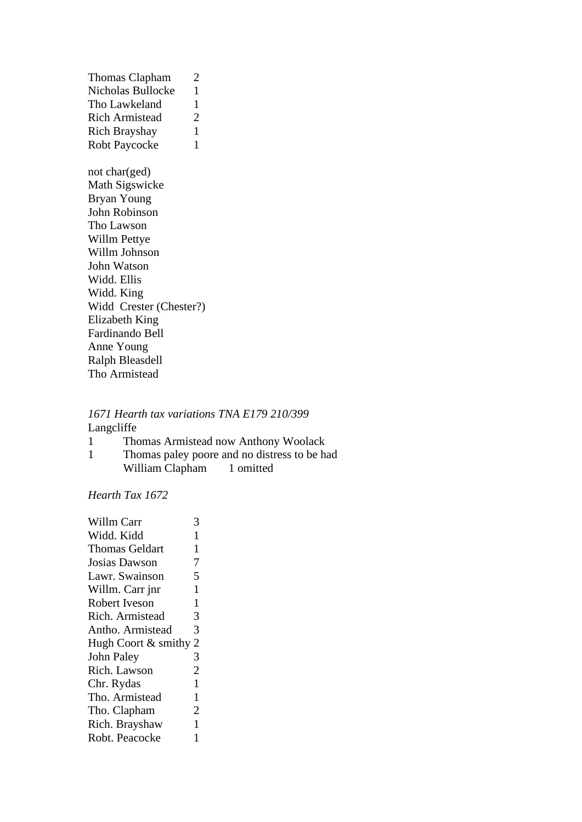Thomas Clapham 2 Nicholas Bullocke 1 Tho Lawkeland 1 Rich Armistead 2 Rich Brayshay 1 Robt Paycocke 1 not char(ged) Math Sigswicke Bryan Young John Robinson Tho Lawson Willm Pettye Willm Johnson John Watson Widd. Ellis Widd. King Widd Crester (Chester?) Elizabeth King Fardinando Bell Anne Young Ralph Bleasdell Tho Armistead

#### *1671 Hearth tax variations TNA E179 210/399* Langcliffe  $\frac{1}{1}$  Thomas Armistead now  $\frac{1}{1}$

| -1 |                 | Thomas Armistead now Anthony Woolack         |
|----|-----------------|----------------------------------------------|
| -1 |                 | Thomas paley poore and no distress to be had |
|    | William Clapham | 1 omitted                                    |

# *Hearth Tax 1672*

| <b>Willm Carr</b>     | 3              |
|-----------------------|----------------|
| Widd. Kidd            | 1              |
| <b>Thomas Geldart</b> | 1              |
| Josias Dawson         | 7              |
| Lawr. Swainson        | 5              |
| Willm. Carr jnr       | 1              |
| Robert Iveson         | $\mathbf{1}$   |
| Rich. Armistead       | 3              |
| Antho. Armistead      | 3              |
| Hugh Coort & smithy 2 |                |
| <b>John Paley</b>     | 3              |
| Rich. Lawson          | $\overline{2}$ |
| Chr. Rydas            | $\mathbf{1}$   |
| Tho. Armistead        | 1              |
| Tho. Clapham          | $\overline{2}$ |
| Rich. Brayshaw        | 1              |
| Robt. Peacocke        | 1              |
|                       |                |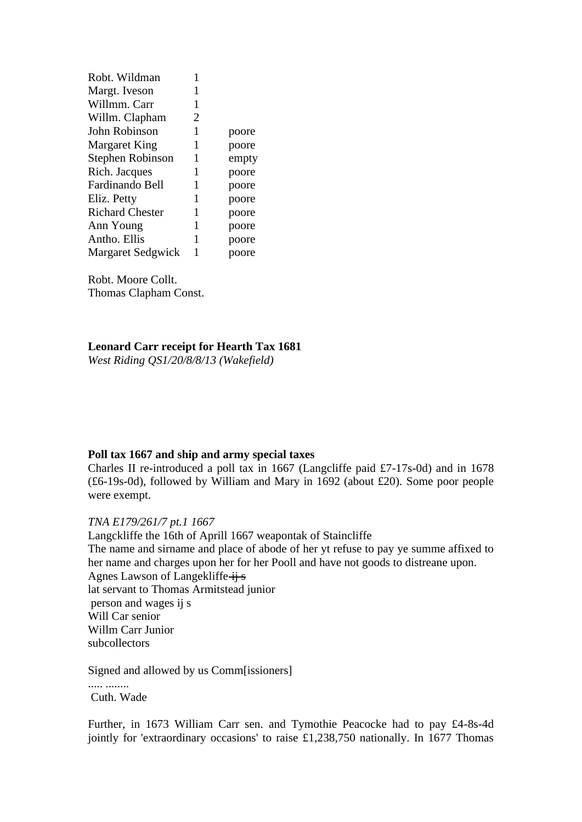| Robt. Wildman            |   |       |
|--------------------------|---|-------|
| Margt. Iveson            | 1 |       |
| Willmm. Carr             | 1 |       |
| Willm. Clapham           | 2 |       |
| John Robinson            | 1 | poore |
| Margaret King            | 1 | poore |
| Stephen Robinson         | 1 | empty |
| Rich. Jacques            | 1 | poore |
| Fardinando Bell          | 1 | poore |
| Eliz. Petty              | 1 | poore |
| <b>Richard Chester</b>   | 1 | poore |
| Ann Young                | 1 | poore |
| Antho. Ellis             | 1 | poore |
| <b>Margaret Sedgwick</b> | 1 | poore |

Robt. Moore Collt. Thomas Clapham Const.

### **Leonard Carr receipt for Hearth Tax 1681**

*West Riding QS1/20/8/8/13 (Wakefield)*

#### **Poll tax 1667 and ship and army special taxes**

Charles II re-introduced a poll tax in 1667 (Langcliffe paid £7-17s-0d) and in 1678 (£6-19s-0d), followed by William and Mary in 1692 (about £20). Some poor people were exempt.

### *TNA E179/261/7 pt.1 1667*

Langckliffe the 16th of Aprill 1667 weapontak of Staincliffe The name and sirname and place of abode of her yt refuse to pay ye summe affixed to her name and charges upon her for her Pooll and have not goods to distreane upon. Agnes Lawson of Langekliffe ij s lat servant to Thomas Armitstead junior person and wages ij s Will Car senior Willm Carr Junior subcollectors

Signed and allowed by us Comm[issioners]

..... ........ Cuth. Wade

Further, in 1673 William Carr sen. and Tymothie Peacocke had to pay £4-8s-4d jointly for 'extraordinary occasions' to raise £1,238,750 nationally. In 1677 Thomas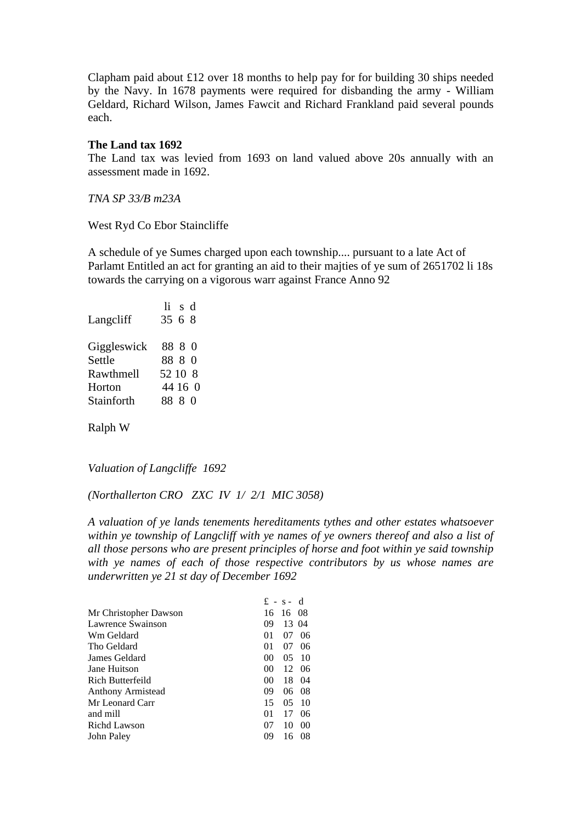Clapham paid about £12 over 18 months to help pay for for building 30 ships needed by the Navy. In 1678 payments were required for disbanding the army - William Geldard, Richard Wilson, James Fawcit and Richard Frankland paid several pounds each.

#### **The Land tax 1692**

The Land tax was levied from 1693 on land valued above 20s annually with an assessment made in 1692.

*TNA SP 33/B m23A*

West Ryd Co Ebor Staincliffe

A schedule of ye Sumes charged upon each township.... pursuant to a late Act of Parlamt Entitled an act for granting an aid to their majties of ye sum of 2651702 li 18s towards the carrying on a vigorous warr against France Anno 92

| $li$ s $d$ |
|------------|
| 35 6 8     |
|            |
| 88 8 0     |
| 88 8 0     |
| 52 10 8    |
| 44 16 0    |
| 88 S O     |
|            |

Ralph W

*Valuation of Langcliffe 1692*

*(Northallerton CRO ZXC IV 1/ 2/1 MIC 3058)*

*A valuation of ye lands tenements hereditaments tythes and other estates whatsoever within ye township of Langcliff with ye names of ye owners thereof and also a list of all those persons who are present principles of horse and foot within ye said township with ye names of each of those respective contributors by us whose names are underwritten ye 21 st day of December 1692*

|                       |                 | $f - s - d$ |                |
|-----------------------|-----------------|-------------|----------------|
| Mr Christopher Dawson | 16              | -16 08      |                |
| Lawrence Swainson     | 09              | 13 04       |                |
| Wm Geldard            | 01              | 07          | 06             |
| Tho Geldard           | 01              | 07          | 06             |
| James Geldard         | 00              | 0.5         | 10             |
| Jane Huitson          | 00 <sup>2</sup> | 12          | -06            |
| Rich Butterfeild      | 00 <sup>0</sup> | 18          | 04             |
| Anthony Armistead     | 09              | 06          | 08             |
| Mr Leonard Carr       | 15              | 0.5         | 10             |
| and mill              | 01              | 17          | 06             |
| Richd Lawson          | 07              | 10          | 0 <sup>0</sup> |
| John Palev            | 09              | 16          | 08             |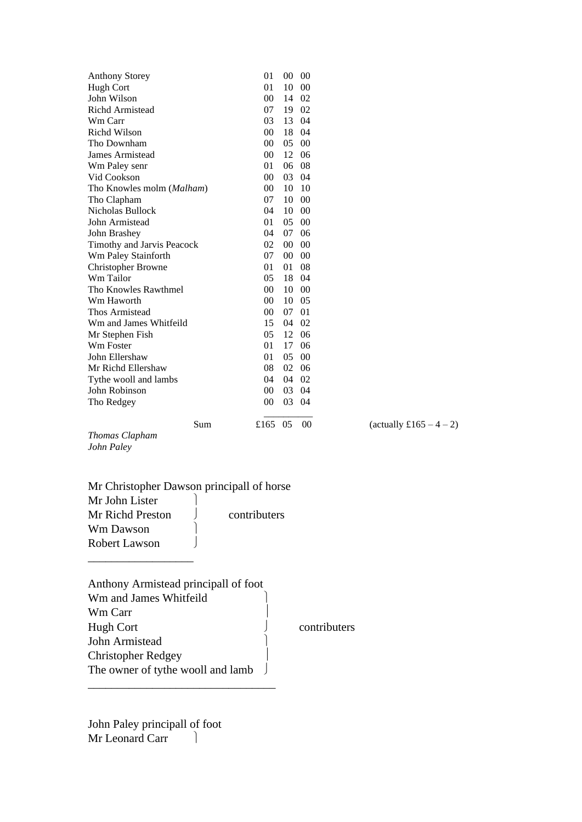| <b>Anthony Storey</b>                     | 01              |       | $00\ 00$ |                         |
|-------------------------------------------|-----------------|-------|----------|-------------------------|
| Hugh Cort                                 | 01              |       | 10 00    |                         |
| John Wilson                               | 00              |       | 14 02    |                         |
| Richd Armistead                           | 07              |       | 19 02    |                         |
| Wm Carr                                   | 03              |       | 13 04    |                         |
| Richd Wilson                              | 00              |       | 18 04    |                         |
| Tho Downham                               | 00              | 05 00 |          |                         |
| James Armistead                           | 00              |       | 12 06    |                         |
| Wm Paley senr                             | 01              |       | 06 08    |                         |
| Vid Cookson                               | 00              | 03 04 |          |                         |
| Tho Knowles molm (Malham)                 | 00              | 10    | -10      |                         |
| Tho Clapham                               | 07              |       | 10 00    |                         |
| Nicholas Bullock                          | 04              |       | 10 00    |                         |
| John Armistead                            | 01              |       | 05 00    |                         |
| John Brashey                              | 04              |       | 07 06    |                         |
| Timothy and Jarvis Peacock                | 02              |       | $00\ 00$ |                         |
| Wm Paley Stainforth                       | 07              | 0000  |          |                         |
| <b>Christopher Browne</b>                 | 01              | 01 08 |          |                         |
| Wm Tailor                                 | 05              |       | 18 04    |                         |
| Tho Knowles Rawthmel                      | 00 <sup>1</sup> |       | 10 00    |                         |
| Wm Haworth                                | 00              |       | 10 05    |                         |
| Thos Armistead                            | 00              | 07 01 |          |                         |
| Wm and James Whitfeild                    | 15              | 04 02 |          |                         |
| Mr Stephen Fish                           | 05              |       | 12 06    |                         |
| Wm Foster                                 | 01              |       | 17 06    |                         |
| John Ellershaw                            | 01              | 05 00 |          |                         |
| Mr Richd Ellershaw                        | 08              |       | 02 06    |                         |
| Tythe wooll and lambs                     | 04              | 04 02 |          |                         |
| John Robinson                             | 00              | 03 04 |          |                         |
| Tho Redgey                                | 00              |       | 03 04    |                         |
| Sum                                       | £165 05         |       | 00       | (actually £165 $-4-2$ ) |
| Thomas Clapham                            |                 |       |          |                         |
| John Paley                                |                 |       |          |                         |
|                                           |                 |       |          |                         |
| Mr Christopher Dawson principall of horse |                 |       |          |                         |
|                                           |                 |       |          |                         |
| Mr John Lister                            |                 |       |          |                         |
| Mr Richd Preston                          | contributers    |       |          |                         |
| Wm Dawson                                 |                 |       |          |                         |

| Anthony Armistead principall of foot |  |
|--------------------------------------|--|
| Wm and James Whitfeild               |  |
| Wm Carr                              |  |
| Hugh Cort                            |  |
| <b>John Armistead</b>                |  |
| <b>Christopher Redgey</b>            |  |
| The owner of tythe wooll and lamb    |  |
|                                      |  |

John Paley principall of foot Mr Leonard Carr |

Robert Lawson J \_\_\_\_\_\_\_\_\_\_\_\_\_\_\_\_\_\_

contributers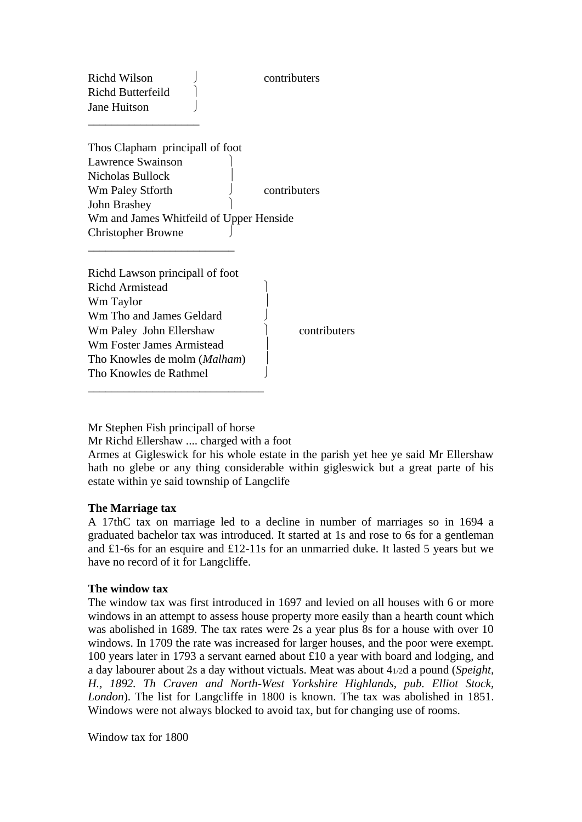Richd Wilson Richard Contributers Richd Butterfeild Jane Huitson

\_\_\_\_\_\_\_\_\_\_\_\_\_\_\_\_\_\_\_

Thos Clapham principall of foot Lawrence Swainson Nicholas Bullock Wm Paley Stforth  $\qquad \qquad$  contributers John Brashey Wm and James Whitfeild of Upper Henside Christopher Browne \_\_\_\_\_\_\_\_\_\_\_\_\_\_\_\_\_\_\_\_\_\_\_\_\_

| Richd Lawson principall of foot       |  |
|---------------------------------------|--|
| <b>Richd Armistead</b>                |  |
| Wm Taylor                             |  |
| Wm Tho and James Geldard              |  |
| Wm Paley John Ellershaw               |  |
| <b>Wm Foster James Armistead</b>      |  |
| Tho Knowles de molm ( <i>Malham</i> ) |  |
| Tho Knowles de Rathmel                |  |
|                                       |  |

contributers

Mr Stephen Fish principall of horse

Mr Richd Ellershaw .... charged with a foot

Armes at Gigleswick for his whole estate in the parish yet hee ye said Mr Ellershaw hath no glebe or any thing considerable within gigleswick but a great parte of his estate within ye said township of Langclife

## **The Marriage tax**

A 17thC tax on marriage led to a decline in number of marriages so in 1694 a graduated bachelor tax was introduced. It started at 1s and rose to 6s for a gentleman and £1-6s for an esquire and £12-11s for an unmarried duke. It lasted 5 years but we have no record of it for Langcliffe.

### **The window tax**

The window tax was first introduced in 1697 and levied on all houses with 6 or more windows in an attempt to assess house property more easily than a hearth count which was abolished in 1689. The tax rates were 2s a year plus 8s for a house with over 10 windows. In 1709 the rate was increased for larger houses, and the poor were exempt. 100 years later in 1793 a servant earned about £10 a year with board and lodging, and a day labourer about 2s a day without victuals. Meat was about 41/2d a pound (*Speight, H., 1892. Th Craven and North-West Yorkshire Highlands, pub. Elliot Stock, London*). The list for Langcliffe in 1800 is known. The tax was abolished in 1851. Windows were not always blocked to avoid tax, but for changing use of rooms.

Window tax for 1800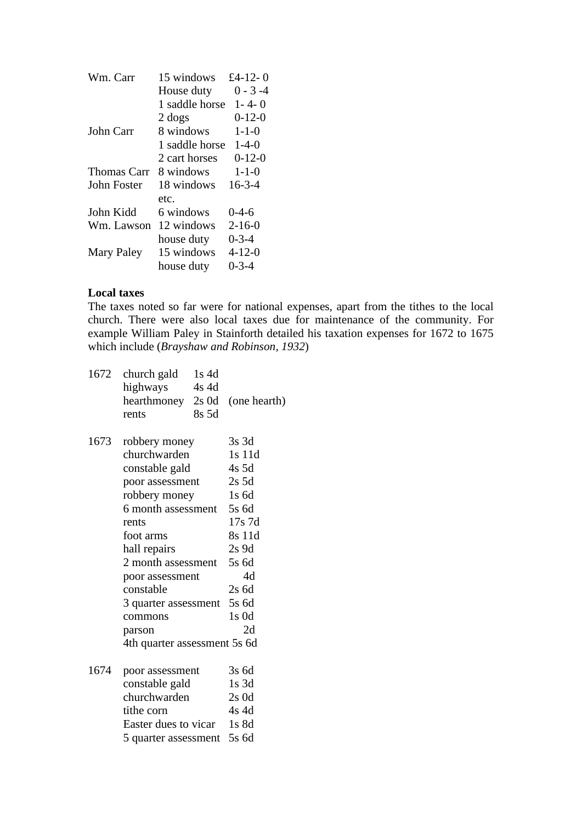| Wm. Carr           | 15 windows     | £4-12-0      |
|--------------------|----------------|--------------|
|                    | House duty     | $0 - 3 - 4$  |
|                    | 1 saddle horse | $1 - 4 - 0$  |
|                    | 2 dogs         | $0-12-0$     |
| John Carr          | 8 windows      | $1 - 1 - 0$  |
|                    | 1 saddle horse | $1 - 4 - 0$  |
|                    | 2 cart horses  | $0 - 12 - 0$ |
| <b>Thomas Carr</b> | 8 windows      | $1 - 1 - 0$  |
| <b>John Foster</b> | 18 windows     | $16 - 3 - 4$ |
|                    | etc.           |              |
| John Kidd          | 6 windows      | $0 - 4 - 6$  |
| Wm. Lawson         | 12 windows     | $2 - 16 - 0$ |
|                    | house duty     | $0 - 3 - 4$  |
| Mary Paley         | 15 windows     | $4 - 12 - 0$ |
|                    | house duty     | $0 - 3 - 4$  |

### **Local taxes**

The taxes noted so far were for national expenses, apart from the tithes to the local church. There were also local taxes due for maintenance of the community. For example William Paley in Stainforth detailed his taxation expenses for 1672 to 1675 which include (*Brayshaw and Robinson, 1932*)

| 1672 | church gald<br>highways<br>hearthmoney<br>rents                                                                                                                                                                                                                                    | $1s$ 4d<br>$4s$ 4d<br>$2s$ 0d<br>8s 5d | (one hearth)                                                                                                                                     |
|------|------------------------------------------------------------------------------------------------------------------------------------------------------------------------------------------------------------------------------------------------------------------------------------|----------------------------------------|--------------------------------------------------------------------------------------------------------------------------------------------------|
| 1673 | robbery money<br>churchwarden<br>constable gald<br>poor assessment<br>robbery money<br>6 month assessment<br>rents<br>foot arms<br>hall repairs<br>2 month assessment<br>poor assessment<br>constable<br>3 quarter assessment<br>commons<br>parson<br>4th quarter assessment 5s 6d |                                        | $3s$ 3d<br>1s 11d<br>$4s$ 5d<br>$2s$ 5d<br>$1s$ 6d<br>5s 6d<br>$17s$ 7d<br>8s 11d<br>$2s$ 9d<br>5s 6d<br>4d<br>$2s$ 6d<br>5s 6d<br>$1s$ Od<br>2d |
| 1674 | poor assessment<br>constable gald<br>churchwarden<br>tithe corn<br>Easter dues to vicar<br>5 quarter assessment 5s 6d                                                                                                                                                              |                                        | 3s 6d<br>$1s$ 3d<br>$2s$ 0d<br>$4s$ 4d<br>$1s$ 8d                                                                                                |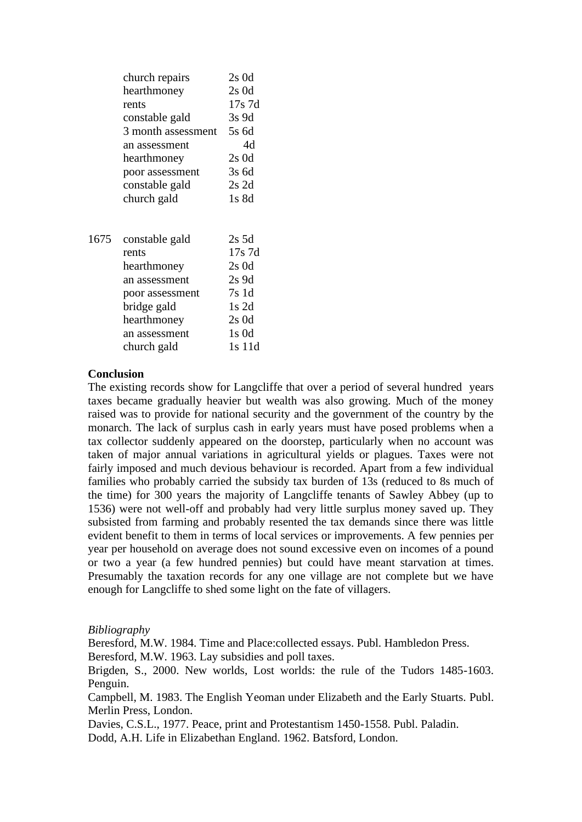|      | church repairs     | $2s$ 0d   |
|------|--------------------|-----------|
|      | hearthmoney        | $2s$ 0d   |
|      | rents              | $17s$ 7d  |
|      | constable gald     | $3s$ 9d   |
|      | 3 month assessment | 5s 6d     |
|      | an assessment      | 4d        |
|      | hearthmoney        | $2s$ 0d   |
|      | poor assessment    | $3s$ 6d   |
|      | constable gald     | $2s$ 2d   |
|      | church gald        | $1s$ 8d   |
|      |                    |           |
| 1675 | constable gald     | 2s 5d     |
|      | rents              | 17s 7d    |
|      | hearthmoney        | $2s$ 0d   |
|      | an assessment      | $2s$ 9d   |
|      | poor assessment    | 7s1d      |
|      | bridge gald        | $1s$ 2d   |
|      | hearthmoney        | $2s$ 0d   |
|      | an assessment      | $1s$ $0d$ |
|      | church gald        | 1s 11d    |

#### **Conclusion**

The existing records show for Langcliffe that over a period of several hundred years taxes became gradually heavier but wealth was also growing. Much of the money raised was to provide for national security and the government of the country by the monarch. The lack of surplus cash in early years must have posed problems when a tax collector suddenly appeared on the doorstep, particularly when no account was taken of major annual variations in agricultural yields or plagues. Taxes were not fairly imposed and much devious behaviour is recorded. Apart from a few individual families who probably carried the subsidy tax burden of 13s (reduced to 8s much of the time) for 300 years the majority of Langcliffe tenants of Sawley Abbey (up to 1536) were not well-off and probably had very little surplus money saved up. They subsisted from farming and probably resented the tax demands since there was little evident benefit to them in terms of local services or improvements. A few pennies per year per household on average does not sound excessive even on incomes of a pound or two a year (a few hundred pennies) but could have meant starvation at times. Presumably the taxation records for any one village are not complete but we have enough for Langcliffe to shed some light on the fate of villagers.

#### *Bibliography*

Beresford, M.W. 1984. Time and Place:collected essays. Publ. Hambledon Press. Beresford, M.W. 1963. Lay subsidies and poll taxes.

Brigden, S., 2000. New worlds, Lost worlds: the rule of the Tudors 1485-1603. Penguin.

Campbell, M. 1983. The English Yeoman under Elizabeth and the Early Stuarts. Publ. Merlin Press, London.

Davies, C.S.L., 1977. Peace, print and Protestantism 1450-1558. Publ. Paladin. Dodd, A.H. Life in Elizabethan England. 1962. Batsford, London.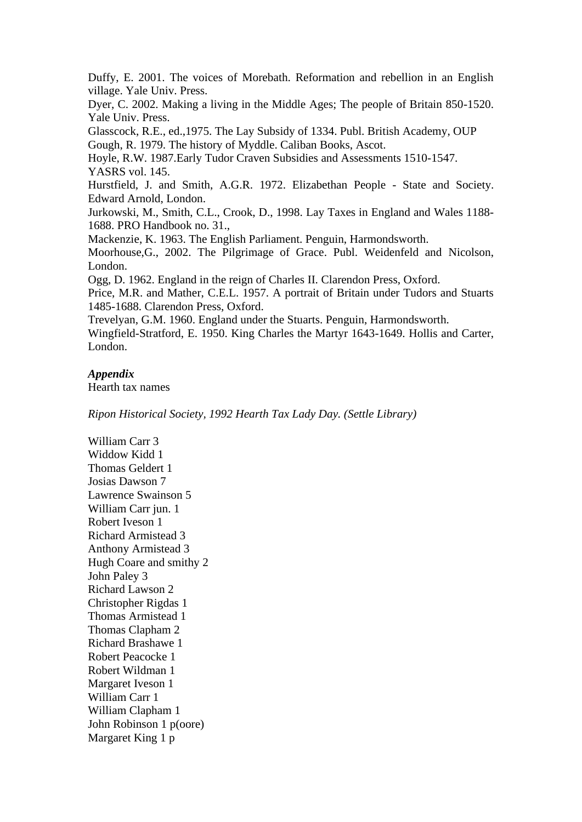Duffy, E. 2001. The voices of Morebath. Reformation and rebellion in an English village. Yale Univ. Press.

Dyer, C. 2002. Making a living in the Middle Ages; The people of Britain 850-1520. Yale Univ. Press.

Glasscock, R.E., ed.,1975. The Lay Subsidy of 1334. Publ. British Academy, OUP Gough, R. 1979. The history of Myddle. Caliban Books, Ascot.

Hoyle, R.W. 1987.Early Tudor Craven Subsidies and Assessments 1510-1547. YASRS vol. 145.

Hurstfield, J. and Smith, A.G.R. 1972. Elizabethan People - State and Society. Edward Arnold, London.

Jurkowski, M., Smith, C.L., Crook, D., 1998. Lay Taxes in England and Wales 1188- 1688. PRO Handbook no. 31.,

Mackenzie, K. 1963. The English Parliament. Penguin, Harmondsworth.

Moorhouse,G., 2002. The Pilgrimage of Grace. Publ. Weidenfeld and Nicolson, London.

Ogg, D. 1962. England in the reign of Charles II. Clarendon Press, Oxford.

Price, M.R. and Mather, C.E.L. 1957. A portrait of Britain under Tudors and Stuarts 1485-1688. Clarendon Press, Oxford.

Trevelyan, G.M. 1960. England under the Stuarts. Penguin, Harmondsworth.

Wingfield-Stratford, E. 1950. King Charles the Martyr 1643-1649. Hollis and Carter, London.

### *Appendix*

Hearth tax names

*Ripon Historical Society, 1992 Hearth Tax Lady Day. (Settle Library)*

William Carr 3 Widdow Kidd 1 Thomas Geldert 1 Josias Dawson 7 Lawrence Swainson 5 William Carr jun. 1 Robert Iveson 1 Richard Armistead 3 Anthony Armistead 3 Hugh Coare and smithy 2 John Paley 3 Richard Lawson 2 Christopher Rigdas 1 Thomas Armistead 1 Thomas Clapham 2 Richard Brashawe 1 Robert Peacocke 1 Robert Wildman 1 Margaret Iveson 1 William Carr 1 William Clapham 1 John Robinson 1 p(oore) Margaret King 1 p